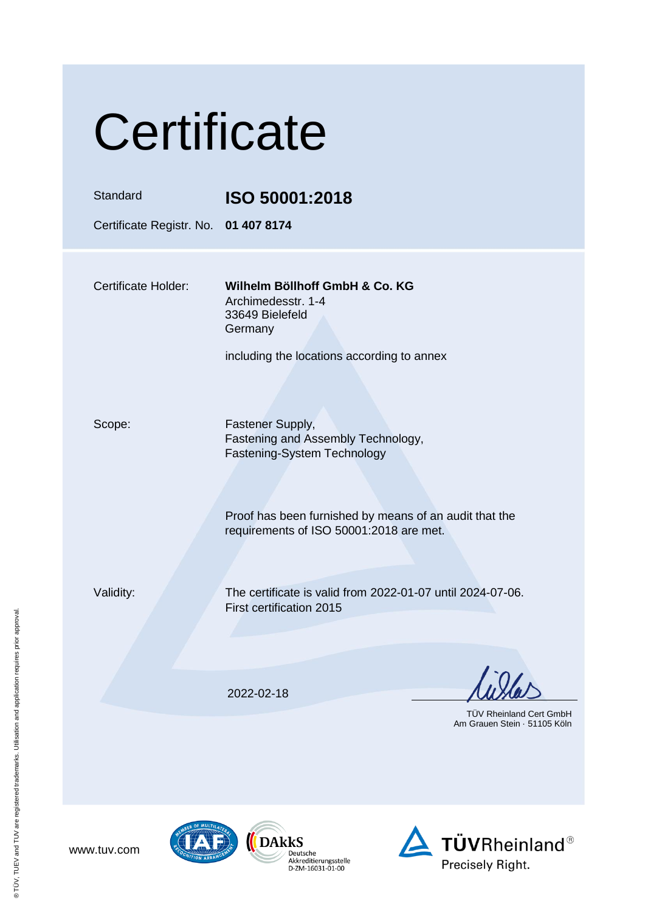| Certificate                                      |                                                                                                                                                                                            |  |
|--------------------------------------------------|--------------------------------------------------------------------------------------------------------------------------------------------------------------------------------------------|--|
| Standard<br>Certificate Registr. No. 01 407 8174 | ISO 50001:2018                                                                                                                                                                             |  |
| <b>Certificate Holder:</b>                       | Wilhelm Böllhoff GmbH & Co. KG<br>Archimedesstr. 1-4<br>33649 Bielefeld<br>Germany<br>including the locations according to annex                                                           |  |
| Scope:                                           | Fastener Supply,<br>Fastening and Assembly Technology,<br>Fastening-System Technology<br>Proof has been furnished by means of an audit that the<br>requirements of ISO 50001:2018 are met. |  |
| Validity:                                        | The certificate is valid from 2022-01-07 until 2024-07-06.<br>First certification 2015                                                                                                     |  |
|                                                  | 2022-02-18<br><b>TÜV Rheinland Cert GmbH</b><br>Am Grauen Stein · 51105 Köln                                                                                                               |  |

www.tuv.com

 $(\sqrt{2})$